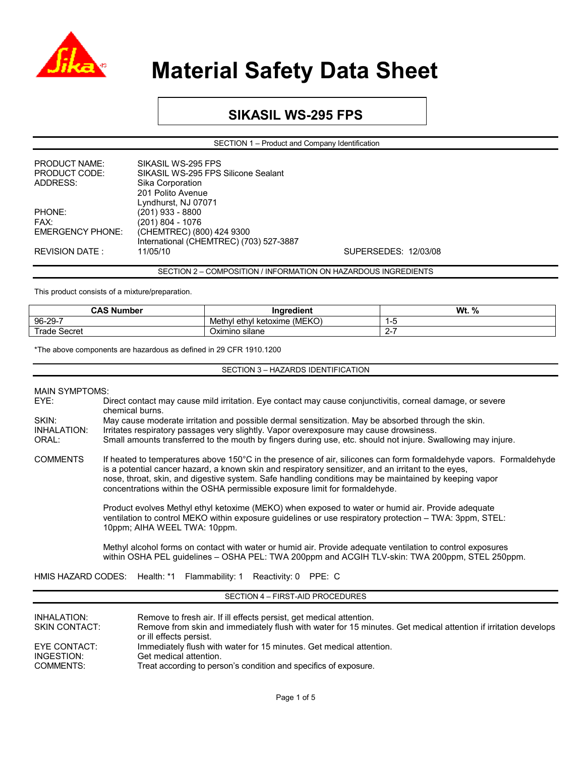

### **SIKASIL WS-295 FPS**

SECTION 1 – Product and Company Identification

| <b>PRODUCT NAME:</b>    | SIKASIL WS-295 FPS                      |
|-------------------------|-----------------------------------------|
| PRODUCT CODE:           | SIKASIL WS-295 FPS Silicone Sealant     |
| ADDRESS:                | Sika Corporation                        |
|                         | 201 Polito Avenue                       |
|                         | Lyndhurst, NJ 07071                     |
| PHONE:                  | $(201)$ 933 - 8800                      |
| FAX:                    | $(201) 804 - 1076$                      |
| <b>EMERGENCY PHONE:</b> | (CHEMTREC) (800) 424 9300               |
|                         | International (CHEMTREC) (703) 527-3887 |
| <b>REVISION DATE:</b>   | 11/05/10                                |
|                         |                                         |

SUPERSEDES: 12/03/08

SECTION 2 – COMPOSITION / INFORMATION ON HAZARDOUS INGREDIENTS

This product consists of a mixture/preparation.

| <b>CAS Number</b> | .<br>Ingredient                   | Wt.<br>% |
|-------------------|-----------------------------------|----------|
| 96-29-7           | (MEKO<br>Methyl ethyl<br>ketoxime |          |
| rade<br>Secret    | $\cdot$ .<br>Oximino silane       |          |

\*The above components are hazardous as defined in 29 CFR 1910.1200

SECTION 3 – HAZARDS IDENTIFICATION

| <b>MAIN SYMPTOMS:</b> |
|-----------------------|
|-----------------------|

| EYE:               | Direct contact may cause mild irritation. Eye contact may cause conjunctivitis, corneal damage, or severe<br>chemical burns.                                                                                                                                                                                                                                                                                      |  |  |  |
|--------------------|-------------------------------------------------------------------------------------------------------------------------------------------------------------------------------------------------------------------------------------------------------------------------------------------------------------------------------------------------------------------------------------------------------------------|--|--|--|
| SKIN:              | May cause moderate irritation and possible dermal sensitization. May be absorbed through the skin.                                                                                                                                                                                                                                                                                                                |  |  |  |
| <b>INHALATION:</b> | Irritates respiratory passages very slightly. Vapor overexposure may cause drowsiness.                                                                                                                                                                                                                                                                                                                            |  |  |  |
| ORAL:              | Small amounts transferred to the mouth by fingers during use, etc. should not injure. Swallowing may injure.                                                                                                                                                                                                                                                                                                      |  |  |  |
| <b>COMMENTS</b>    | If heated to temperatures above 150°C in the presence of air, silicones can form formaldehyde vapors. Formaldehyde<br>is a potential cancer hazard, a known skin and respiratory sensitizer, and an irritant to the eyes,<br>nose, throat, skin, and digestive system. Safe handling conditions may be maintained by keeping vapor<br>concentrations within the OSHA permissible exposure limit for formaldehyde. |  |  |  |
|                    | Product evolves Methyl ethyl ketoxime (MEKO) when exposed to water or humid air. Provide adequate<br>ventilation to control MEKO within exposure quidelines or use respiratory protection – TWA: 3ppm, STEL:<br>10ppm; AIHA WEEL TWA: 10ppm.                                                                                                                                                                      |  |  |  |
|                    | Methyl alcohol forms on contact with water or humid air. Provide adequate ventilation to control exposures<br>within OSHA PEL quidelines – OSHA PEL: TWA 200ppm and ACGIH TLV-skin: TWA 200ppm, STEL 250ppm.                                                                                                                                                                                                      |  |  |  |
|                    | HMIS HAZARD CODES: Health: *1 Flammability: 1 Reactivity: 0 PPE: C                                                                                                                                                                                                                                                                                                                                                |  |  |  |
|                    | SECTION 4 - FIRST-AID PROCEDURES                                                                                                                                                                                                                                                                                                                                                                                  |  |  |  |
|                    |                                                                                                                                                                                                                                                                                                                                                                                                                   |  |  |  |

| INHALATION:<br>SKIN CONTACT: | Remove to fresh air. If ill effects persist, get medical attention.<br>Remove from skin and immediately flush with water for 15 minutes. Get medical attention if irritation develops<br>or ill effects persist. |
|------------------------------|------------------------------------------------------------------------------------------------------------------------------------------------------------------------------------------------------------------|
| EYE CONTACT:                 | Immediately flush with water for 15 minutes. Get medical attention.                                                                                                                                              |
| INGESTION:                   | Get medical attention.                                                                                                                                                                                           |
| COMMENTS:                    | Treat according to person's condition and specifics of exposure.                                                                                                                                                 |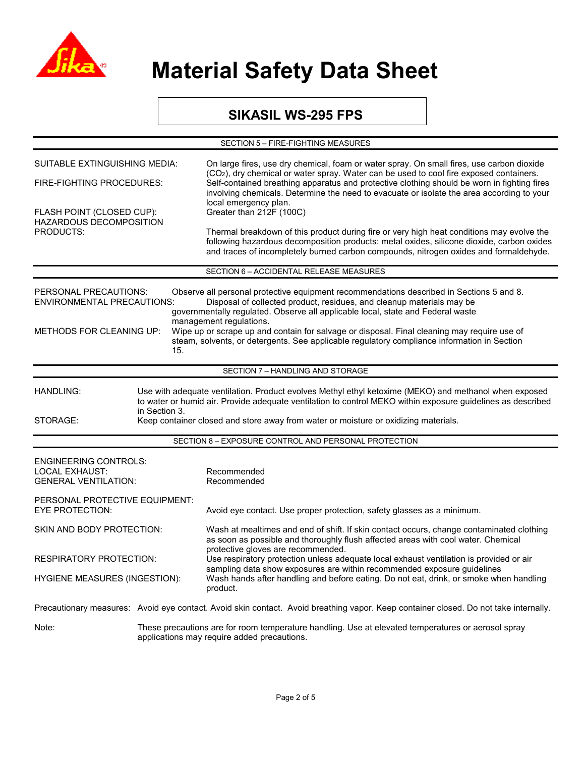

### **SIKASIL WS-295 FPS**

| SECTION 5 - FIRE-FIGHTING MEASURES                                                                                                                                                                                                                 |                                                                                     |                                                                                                                                                                                                                                                                                                                                                                                                                                                                               |  |
|----------------------------------------------------------------------------------------------------------------------------------------------------------------------------------------------------------------------------------------------------|-------------------------------------------------------------------------------------|-------------------------------------------------------------------------------------------------------------------------------------------------------------------------------------------------------------------------------------------------------------------------------------------------------------------------------------------------------------------------------------------------------------------------------------------------------------------------------|--|
| SUITABLE EXTINGUISHING MEDIA:<br>FIRE-FIGHTING PROCEDURES:                                                                                                                                                                                         |                                                                                     | On large fires, use dry chemical, foam or water spray. On small fires, use carbon dioxide<br>(CO <sub>2</sub> ), dry chemical or water spray. Water can be used to cool fire exposed containers.<br>Self-contained breathing apparatus and protective clothing should be worn in fighting fires<br>involving chemicals. Determine the need to evacuate or isolate the area according to your<br>local emergency plan.                                                         |  |
|                                                                                                                                                                                                                                                    |                                                                                     |                                                                                                                                                                                                                                                                                                                                                                                                                                                                               |  |
| <b>PRODUCTS:</b>                                                                                                                                                                                                                                   |                                                                                     | Thermal breakdown of this product during fire or very high heat conditions may evolve the<br>following hazardous decomposition products: metal oxides, silicone dioxide, carbon oxides<br>and traces of incompletely burned carbon compounds, nitrogen oxides and formaldehyde.                                                                                                                                                                                               |  |
|                                                                                                                                                                                                                                                    |                                                                                     | SECTION 6 - ACCIDENTAL RELEASE MEASURES                                                                                                                                                                                                                                                                                                                                                                                                                                       |  |
| PERSONAL PRECAUTIONS:<br><b>ENVIRONMENTAL PRECAUTIONS:</b><br>METHODS FOR CLEANING UP:                                                                                                                                                             | 15.                                                                                 | Observe all personal protective equipment recommendations described in Sections 5 and 8.<br>Disposal of collected product, residues, and cleanup materials may be<br>governmentally regulated. Observe all applicable local, state and Federal waste<br>management regulations.<br>Wipe up or scrape up and contain for salvage or disposal. Final cleaning may require use of<br>steam, solvents, or detergents. See applicable regulatory compliance information in Section |  |
|                                                                                                                                                                                                                                                    |                                                                                     | SECTION 7 - HANDLING AND STORAGE                                                                                                                                                                                                                                                                                                                                                                                                                                              |  |
|                                                                                                                                                                                                                                                    |                                                                                     |                                                                                                                                                                                                                                                                                                                                                                                                                                                                               |  |
| Use with adequate ventilation. Product evolves Methyl ethyl ketoxime (MEKO) and methanol when exposed<br>HANDLING:<br>to water or humid air. Provide adequate ventilation to control MEKO within exposure guidelines as described<br>in Section 3. |                                                                                     |                                                                                                                                                                                                                                                                                                                                                                                                                                                                               |  |
| STORAGE:                                                                                                                                                                                                                                           | Keep container closed and store away from water or moisture or oxidizing materials. |                                                                                                                                                                                                                                                                                                                                                                                                                                                                               |  |
|                                                                                                                                                                                                                                                    |                                                                                     | SECTION 8 - EXPOSURE CONTROL AND PERSONAL PROTECTION                                                                                                                                                                                                                                                                                                                                                                                                                          |  |
| <b>ENGINEERING CONTROLS:</b><br><b>LOCAL EXHAUST:</b><br><b>GENERAL VENTILATION:</b>                                                                                                                                                               |                                                                                     | Recommended<br>Recommended                                                                                                                                                                                                                                                                                                                                                                                                                                                    |  |
| PERSONAL PROTECTIVE EQUIPMENT:<br><b>EYE PROTECTION:</b>                                                                                                                                                                                           |                                                                                     | Avoid eye contact. Use proper protection, safety glasses as a minimum.                                                                                                                                                                                                                                                                                                                                                                                                        |  |
| <b>SKIN AND BODY PROTECTION:</b>                                                                                                                                                                                                                   |                                                                                     | Wash at mealtimes and end of shift. If skin contact occurs, change contaminated clothing<br>as soon as possible and thoroughly flush affected areas with cool water. Chemical                                                                                                                                                                                                                                                                                                 |  |
| RESPIRATORY PROTECTION:                                                                                                                                                                                                                            |                                                                                     | protective gloves are recommended.<br>Use respiratory protection unless adequate local exhaust ventilation is provided or air<br>sampling data show exposures are within recommended exposure guidelines                                                                                                                                                                                                                                                                      |  |
| <b>HYGIENE MEASURES (INGESTION):</b>                                                                                                                                                                                                               |                                                                                     | Wash hands after handling and before eating. Do not eat, drink, or smoke when handling<br>product.                                                                                                                                                                                                                                                                                                                                                                            |  |
|                                                                                                                                                                                                                                                    |                                                                                     | Precautionary measures: Avoid eye contact. Avoid skin contact. Avoid breathing vapor. Keep container closed. Do not take internally.                                                                                                                                                                                                                                                                                                                                          |  |
| Note:                                                                                                                                                                                                                                              |                                                                                     | These precautions are for room temperature handling. Use at elevated temperatures or aerosol spray<br>applications may require added precautions.                                                                                                                                                                                                                                                                                                                             |  |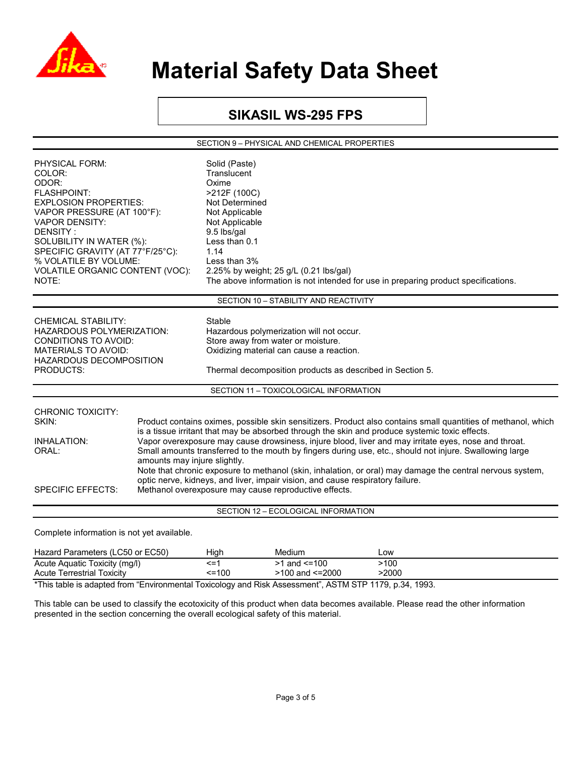

### **SIKASIL WS-295 FPS**

SECTION 9 – PHYSICAL AND CHEMICAL PROPERTIES

| PHYSICAL FORM:<br>COLOR:<br>ODOR:<br><b>FLASHPOINT:</b><br><b>EXPLOSION PROPERTIES:</b><br>VAPOR PRESSURE (AT 100°F):<br><b>VAPOR DENSITY:</b><br>DENSITY:<br>SOLUBILITY IN WATER (%):<br>SPECIFIC GRAVITY (AT 77°F/25°C):<br>% VOLATILE BY VOLUME:<br>VOLATILE ORGANIC CONTENT (VOC):<br>NOTE: |                              | Solid (Paste)<br>Translucent<br>Oxime<br>>212F (100C)<br>Not Determined<br>Not Applicable<br>Not Applicable<br>9.5 lbs/gal<br>Less than 0.1<br>1.14<br>Less than 3%<br>2.25% by weight; 25 g/L (0.21 lbs/gal)<br>The above information is not intended for use in preparing product specifications.                                                                                                                                                                                                                                                                                                                                                                                        |  |  |
|-------------------------------------------------------------------------------------------------------------------------------------------------------------------------------------------------------------------------------------------------------------------------------------------------|------------------------------|--------------------------------------------------------------------------------------------------------------------------------------------------------------------------------------------------------------------------------------------------------------------------------------------------------------------------------------------------------------------------------------------------------------------------------------------------------------------------------------------------------------------------------------------------------------------------------------------------------------------------------------------------------------------------------------------|--|--|
|                                                                                                                                                                                                                                                                                                 |                              | SECTION 10 - STABILITY AND REACTIVITY                                                                                                                                                                                                                                                                                                                                                                                                                                                                                                                                                                                                                                                      |  |  |
| <b>CHEMICAL STABILITY:</b><br><b>HAZARDOUS POLYMERIZATION:</b><br>CONDITIONS TO AVOID:<br><b>MATERIALS TO AVOID:</b><br>HAZARDOUS DECOMPOSITION<br><b>PRODUCTS:</b>                                                                                                                             |                              | Stable<br>Hazardous polymerization will not occur.<br>Store away from water or moisture.<br>Oxidizing material can cause a reaction.<br>Thermal decomposition products as described in Section 5.<br>SECTION 11 - TOXICOLOGICAL INFORMATION                                                                                                                                                                                                                                                                                                                                                                                                                                                |  |  |
| <b>CHRONIC TOXICITY:</b><br>SKIN:<br><b>INHALATION:</b><br>ORAL:<br><b>SPECIFIC EFFECTS:</b>                                                                                                                                                                                                    | amounts may injure slightly. | Product contains oximes, possible skin sensitizers. Product also contains small quantities of methanol, which<br>is a tissue irritant that may be absorbed through the skin and produce systemic toxic effects.<br>Vapor overexposure may cause drowsiness, injure blood, liver and may irritate eyes, nose and throat.<br>Small amounts transferred to the mouth by fingers during use, etc., should not injure. Swallowing large<br>Note that chronic exposure to methanol (skin, inhalation, or oral) may damage the central nervous system,<br>optic nerve, kidneys, and liver, impair vision, and cause respiratory failure.<br>Methanol overexposure may cause reproductive effects. |  |  |
|                                                                                                                                                                                                                                                                                                 |                              | SECTION 12 - ECOLOGICAL INFORMATION                                                                                                                                                                                                                                                                                                                                                                                                                                                                                                                                                                                                                                                        |  |  |
| Complete information is not yet available.                                                                                                                                                                                                                                                      |                              |                                                                                                                                                                                                                                                                                                                                                                                                                                                                                                                                                                                                                                                                                            |  |  |

| Hazard Parameters (LC50 or EC50)                                                                           | Hiah         | Medium                 | Low          |
|------------------------------------------------------------------------------------------------------------|--------------|------------------------|--------------|
| Acute Aquatic Toxicity (mg/l)                                                                              | <=′          | >1 and <=100           | >100         |
| <b>Acute Terrestrial Toxicity</b>                                                                          | $\leq$ = 100 | $>100$ and $\leq 2000$ | $\cdot 2000$ |
| *This table is a deated from "From conserted Technology and Dial, Associated". A OTM OTH 4470 to 04, 4000. |              |                        |              |

\*This table is adapted from "Environmental Toxicology and Risk Assessment", ASTM STP 1179, p.34, 1993.

This table can be used to classify the ecotoxicity of this product when data becomes available. Please read the other information presented in the section concerning the overall ecological safety of this material.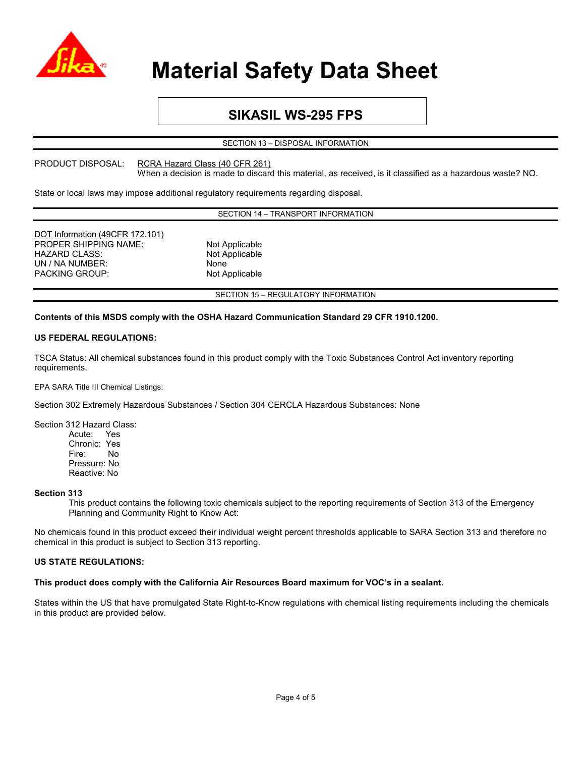

## **SIKASIL WS-295 FPS**

SECTION 13 – DISPOSAL INFORMATION

PRODUCT DISPOSAL: RCRA Hazard Class (40 CFR 261)

When a decision is made to discard this material, as received, is it classified as a hazardous waste? NO.

State or local laws may impose additional regulatory requirements regarding disposal.

SECTION 14 – TRANSPORT INFORMATION

| DOT Information (49CFR 172.101) |                                     |
|---------------------------------|-------------------------------------|
| <b>PROPER SHIPPING NAME:</b>    | Not Applicable                      |
| <b>HAZARD CLASS:</b>            | Not Applicable                      |
| UN / NA NUMBER:                 | None                                |
| <b>PACKING GROUP:</b>           | Not Applicable                      |
|                                 |                                     |
|                                 | SECTION 15 - REGULATORY INFORMATION |

#### **Contents of this MSDS comply with the OSHA Hazard Communication Standard 29 CFR 1910.1200.**

#### **US FEDERAL REGULATIONS:**

TSCA Status: All chemical substances found in this product comply with the Toxic Substances Control Act inventory reporting requirements.

EPA SARA Title III Chemical Listings:

Section 302 Extremely Hazardous Substances / Section 304 CERCLA Hazardous Substances: None

Section 312 Hazard Class: Acute: Yes Chronic: Yes Fire: No Pressure: No Reactive: No

#### **Section 313**

This product contains the following toxic chemicals subject to the reporting requirements of Section 313 of the Emergency Planning and Community Right to Know Act:

No chemicals found in this product exceed their individual weight percent thresholds applicable to SARA Section 313 and therefore no chemical in this product is subject to Section 313 reporting.

#### **US STATE REGULATIONS:**

#### **This product does comply with the California Air Resources Board maximum for VOC's in a sealant.**

States within the US that have promulgated State Right-to-Know regulations with chemical listing requirements including the chemicals in this product are provided below.